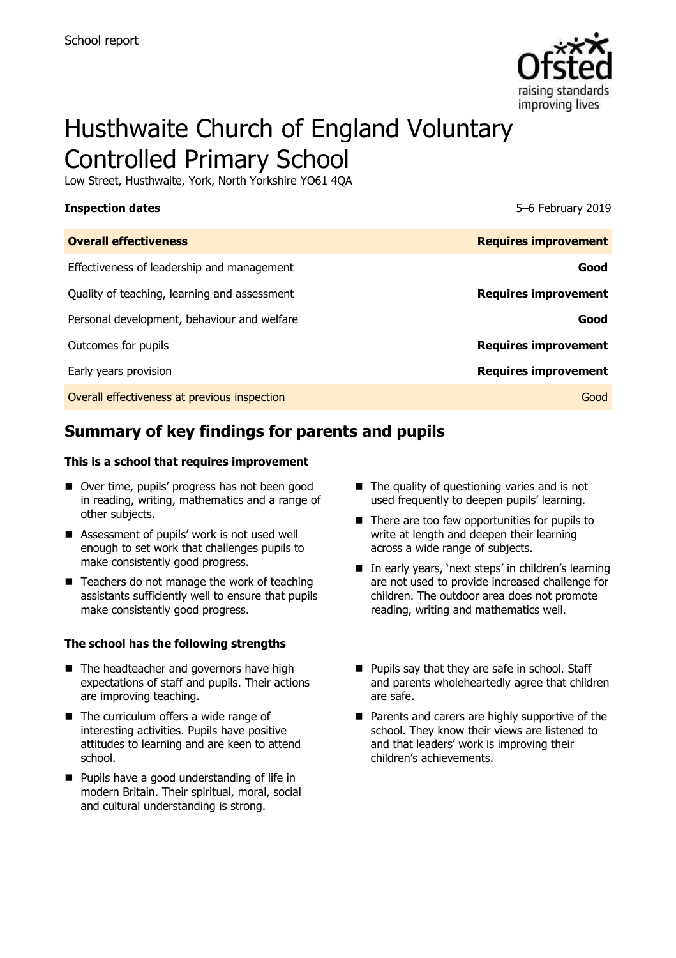

# Husthwaite Church of England Voluntary Controlled Primary School

Low Street, Husthwaite, York, North Yorkshire YO61 4QA

| <b>Inspection dates</b>                      | 5-6 February 2019           |
|----------------------------------------------|-----------------------------|
| <b>Overall effectiveness</b>                 | <b>Requires improvement</b> |
| Effectiveness of leadership and management   | Good                        |
| Quality of teaching, learning and assessment | <b>Requires improvement</b> |
| Personal development, behaviour and welfare  | Good                        |
| Outcomes for pupils                          | <b>Requires improvement</b> |
| Early years provision                        | <b>Requires improvement</b> |
| Overall effectiveness at previous inspection | Good                        |

# **Summary of key findings for parents and pupils**

#### **This is a school that requires improvement**

- Over time, pupils' progress has not been good in reading, writing, mathematics and a range of other subjects.
- Assessment of pupils' work is not used well enough to set work that challenges pupils to make consistently good progress.
- $\blacksquare$  Teachers do not manage the work of teaching assistants sufficiently well to ensure that pupils make consistently good progress.

#### **The school has the following strengths**

- The headteacher and governors have high expectations of staff and pupils. Their actions are improving teaching.
- The curriculum offers a wide range of interesting activities. Pupils have positive attitudes to learning and are keen to attend school.
- **Pupils have a good understanding of life in** modern Britain. Their spiritual, moral, social and cultural understanding is strong.
- $\blacksquare$  The quality of questioning varies and is not used frequently to deepen pupils' learning.
- There are too few opportunities for pupils to write at length and deepen their learning across a wide range of subjects.
- In early years, 'next steps' in children's learning are not used to provide increased challenge for children. The outdoor area does not promote reading, writing and mathematics well.
- **Pupils say that they are safe in school. Staff** and parents wholeheartedly agree that children are safe.
- **Parents and carers are highly supportive of the** school. They know their views are listened to and that leaders' work is improving their children's achievements.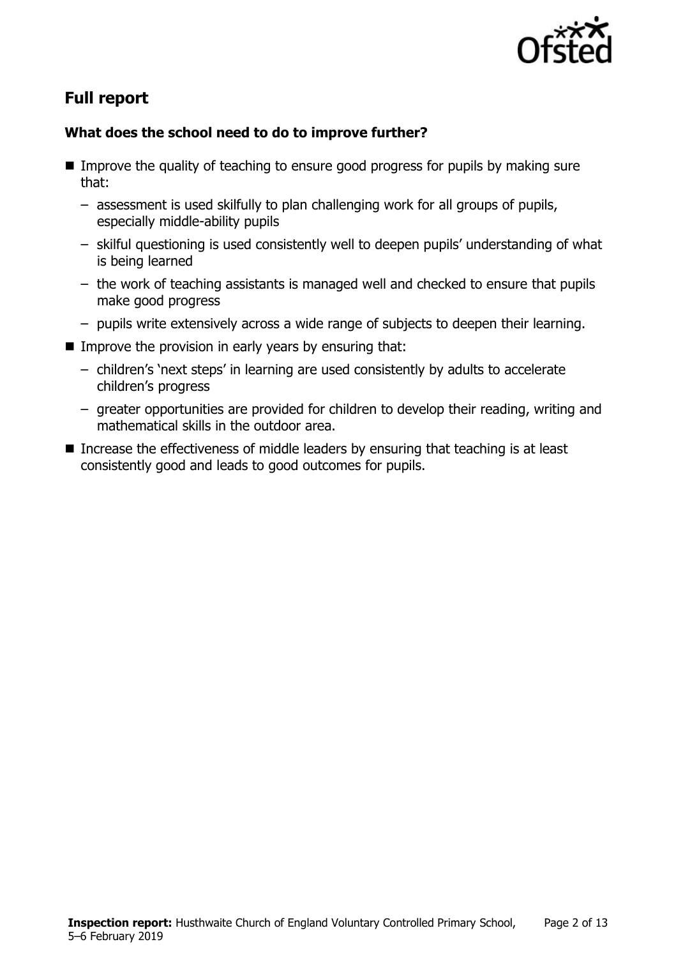

# **Full report**

### **What does the school need to do to improve further?**

- Improve the quality of teaching to ensure good progress for pupils by making sure that:
	- assessment is used skilfully to plan challenging work for all groups of pupils, especially middle-ability pupils
	- skilful questioning is used consistently well to deepen pupils' understanding of what is being learned
	- the work of teaching assistants is managed well and checked to ensure that pupils make good progress
	- pupils write extensively across a wide range of subjects to deepen their learning.
- Improve the provision in early years by ensuring that:
	- children's 'next steps' in learning are used consistently by adults to accelerate children's progress
	- greater opportunities are provided for children to develop their reading, writing and mathematical skills in the outdoor area.
- Increase the effectiveness of middle leaders by ensuring that teaching is at least consistently good and leads to good outcomes for pupils.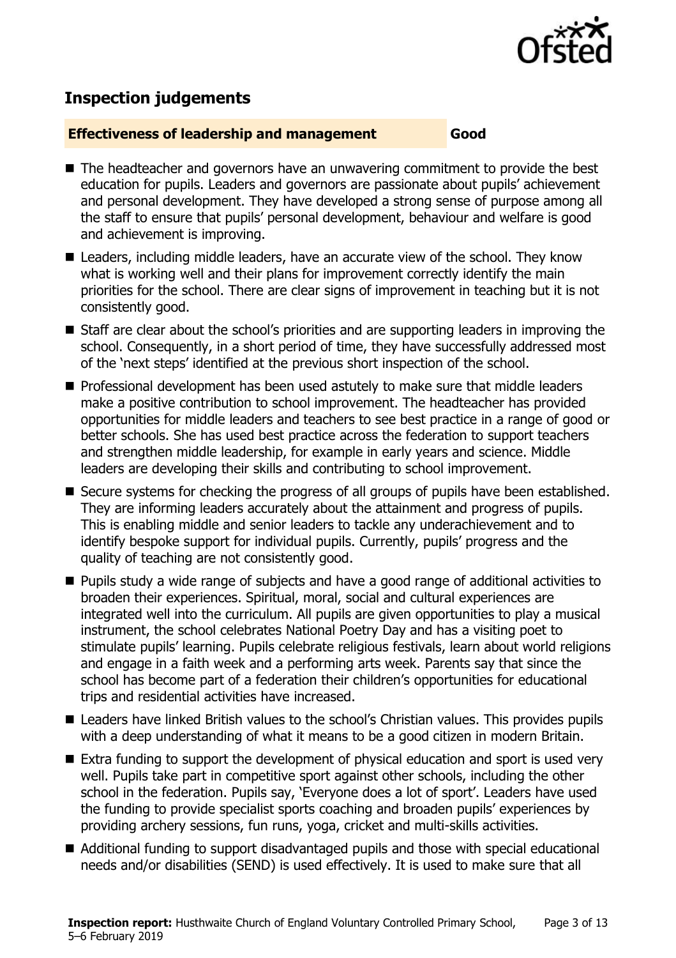

## **Inspection judgements**

#### **Effectiveness of leadership and management Good**

- The headteacher and governors have an unwavering commitment to provide the best education for pupils. Leaders and governors are passionate about pupils' achievement and personal development. They have developed a strong sense of purpose among all the staff to ensure that pupils' personal development, behaviour and welfare is good and achievement is improving.
- Leaders, including middle leaders, have an accurate view of the school. They know what is working well and their plans for improvement correctly identify the main priorities for the school. There are clear signs of improvement in teaching but it is not consistently good.
- Staff are clear about the school's priorities and are supporting leaders in improving the school. Consequently, in a short period of time, they have successfully addressed most of the 'next steps' identified at the previous short inspection of the school.
- Professional development has been used astutely to make sure that middle leaders make a positive contribution to school improvement. The headteacher has provided opportunities for middle leaders and teachers to see best practice in a range of good or better schools. She has used best practice across the federation to support teachers and strengthen middle leadership, for example in early years and science. Middle leaders are developing their skills and contributing to school improvement.
- Secure systems for checking the progress of all groups of pupils have been established. They are informing leaders accurately about the attainment and progress of pupils. This is enabling middle and senior leaders to tackle any underachievement and to identify bespoke support for individual pupils. Currently, pupils' progress and the quality of teaching are not consistently good.
- **Pupils study a wide range of subjects and have a good range of additional activities to** broaden their experiences. Spiritual, moral, social and cultural experiences are integrated well into the curriculum. All pupils are given opportunities to play a musical instrument, the school celebrates National Poetry Day and has a visiting poet to stimulate pupils' learning. Pupils celebrate religious festivals, learn about world religions and engage in a faith week and a performing arts week. Parents say that since the school has become part of a federation their children's opportunities for educational trips and residential activities have increased.
- Leaders have linked British values to the school's Christian values. This provides pupils with a deep understanding of what it means to be a good citizen in modern Britain.
- Extra funding to support the development of physical education and sport is used very well. Pupils take part in competitive sport against other schools, including the other school in the federation. Pupils say, 'Everyone does a lot of sport'. Leaders have used the funding to provide specialist sports coaching and broaden pupils' experiences by providing archery sessions, fun runs, yoga, cricket and multi-skills activities.
- Additional funding to support disadvantaged pupils and those with special educational needs and/or disabilities (SEND) is used effectively. It is used to make sure that all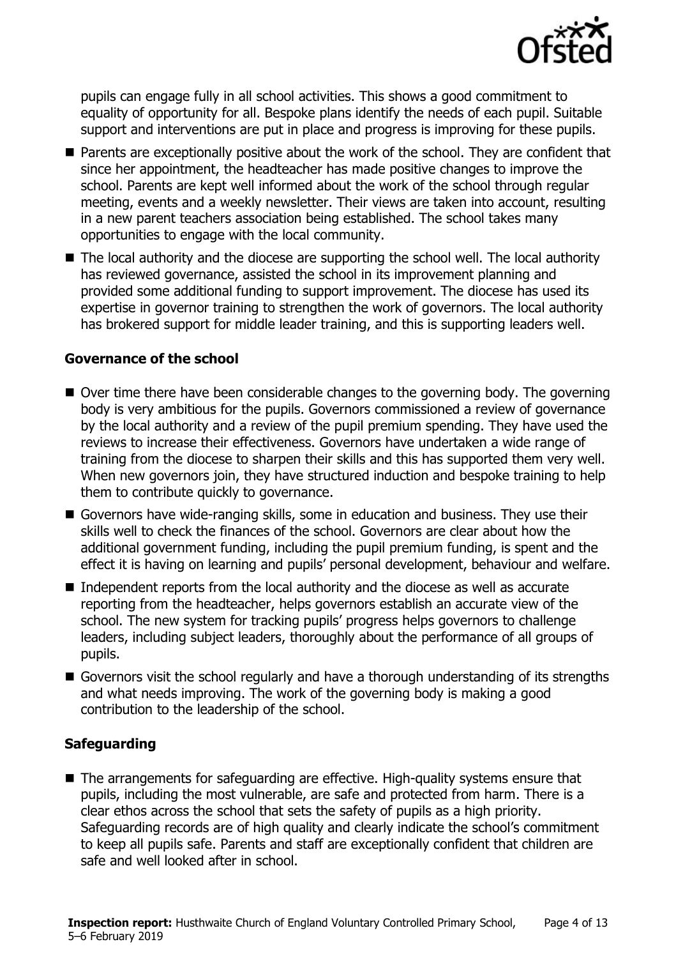

pupils can engage fully in all school activities. This shows a good commitment to equality of opportunity for all. Bespoke plans identify the needs of each pupil. Suitable support and interventions are put in place and progress is improving for these pupils.

- **Parents are exceptionally positive about the work of the school. They are confident that** since her appointment, the headteacher has made positive changes to improve the school. Parents are kept well informed about the work of the school through regular meeting, events and a weekly newsletter. Their views are taken into account, resulting in a new parent teachers association being established. The school takes many opportunities to engage with the local community.
- The local authority and the diocese are supporting the school well. The local authority has reviewed governance, assisted the school in its improvement planning and provided some additional funding to support improvement. The diocese has used its expertise in governor training to strengthen the work of governors. The local authority has brokered support for middle leader training, and this is supporting leaders well.

#### **Governance of the school**

- Over time there have been considerable changes to the governing body. The governing body is very ambitious for the pupils. Governors commissioned a review of governance by the local authority and a review of the pupil premium spending. They have used the reviews to increase their effectiveness. Governors have undertaken a wide range of training from the diocese to sharpen their skills and this has supported them very well. When new governors join, they have structured induction and bespoke training to help them to contribute quickly to governance.
- Governors have wide-ranging skills, some in education and business. They use their skills well to check the finances of the school. Governors are clear about how the additional government funding, including the pupil premium funding, is spent and the effect it is having on learning and pupils' personal development, behaviour and welfare.
- Independent reports from the local authority and the diocese as well as accurate reporting from the headteacher, helps governors establish an accurate view of the school. The new system for tracking pupils' progress helps governors to challenge leaders, including subject leaders, thoroughly about the performance of all groups of pupils.
- Governors visit the school regularly and have a thorough understanding of its strengths and what needs improving. The work of the governing body is making a good contribution to the leadership of the school.

### **Safeguarding**

■ The arrangements for safeguarding are effective. High-quality systems ensure that pupils, including the most vulnerable, are safe and protected from harm. There is a clear ethos across the school that sets the safety of pupils as a high priority. Safeguarding records are of high quality and clearly indicate the school's commitment to keep all pupils safe. Parents and staff are exceptionally confident that children are safe and well looked after in school.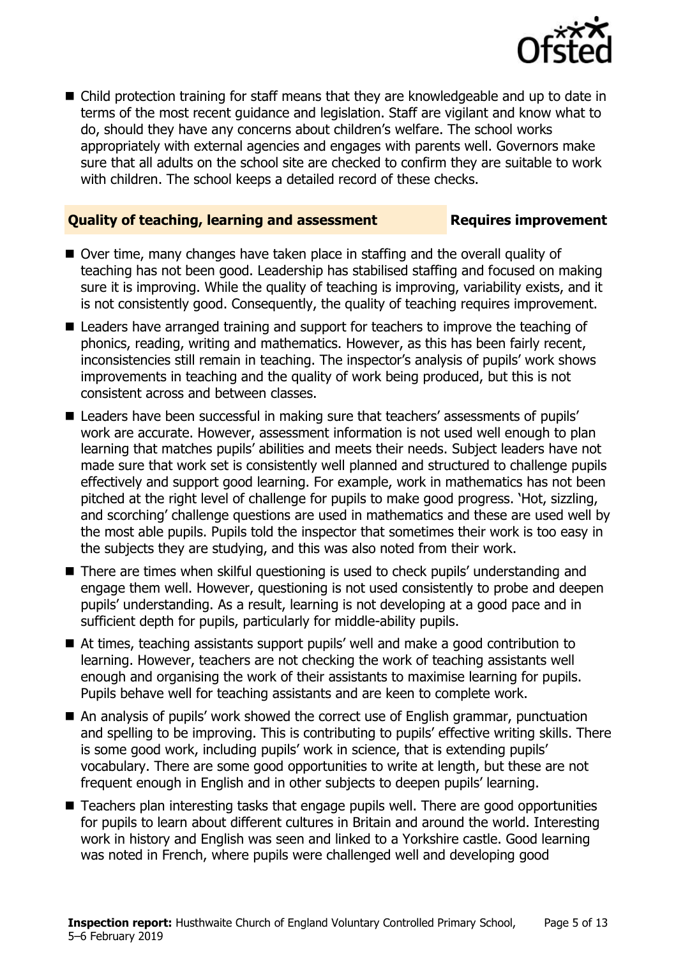

■ Child protection training for staff means that they are knowledgeable and up to date in terms of the most recent guidance and legislation. Staff are vigilant and know what to do, should they have any concerns about children's welfare. The school works appropriately with external agencies and engages with parents well. Governors make sure that all adults on the school site are checked to confirm they are suitable to work with children. The school keeps a detailed record of these checks.

#### **Quality of teaching, learning and assessment Requires improvement**

- Over time, many changes have taken place in staffing and the overall quality of teaching has not been good. Leadership has stabilised staffing and focused on making sure it is improving. While the quality of teaching is improving, variability exists, and it is not consistently good. Consequently, the quality of teaching requires improvement.
- Leaders have arranged training and support for teachers to improve the teaching of phonics, reading, writing and mathematics. However, as this has been fairly recent, inconsistencies still remain in teaching. The inspector's analysis of pupils' work shows improvements in teaching and the quality of work being produced, but this is not consistent across and between classes.
- Leaders have been successful in making sure that teachers' assessments of pupils' work are accurate. However, assessment information is not used well enough to plan learning that matches pupils' abilities and meets their needs. Subject leaders have not made sure that work set is consistently well planned and structured to challenge pupils effectively and support good learning. For example, work in mathematics has not been pitched at the right level of challenge for pupils to make good progress. 'Hot, sizzling, and scorching' challenge questions are used in mathematics and these are used well by the most able pupils. Pupils told the inspector that sometimes their work is too easy in the subjects they are studying, and this was also noted from their work.
- There are times when skilful questioning is used to check pupils' understanding and engage them well. However, questioning is not used consistently to probe and deepen pupils' understanding. As a result, learning is not developing at a good pace and in sufficient depth for pupils, particularly for middle-ability pupils.
- At times, teaching assistants support pupils' well and make a good contribution to learning. However, teachers are not checking the work of teaching assistants well enough and organising the work of their assistants to maximise learning for pupils. Pupils behave well for teaching assistants and are keen to complete work.
- An analysis of pupils' work showed the correct use of English grammar, punctuation and spelling to be improving. This is contributing to pupils' effective writing skills. There is some good work, including pupils' work in science, that is extending pupils' vocabulary. There are some good opportunities to write at length, but these are not frequent enough in English and in other subjects to deepen pupils' learning.
- Teachers plan interesting tasks that engage pupils well. There are good opportunities for pupils to learn about different cultures in Britain and around the world. Interesting work in history and English was seen and linked to a Yorkshire castle. Good learning was noted in French, where pupils were challenged well and developing good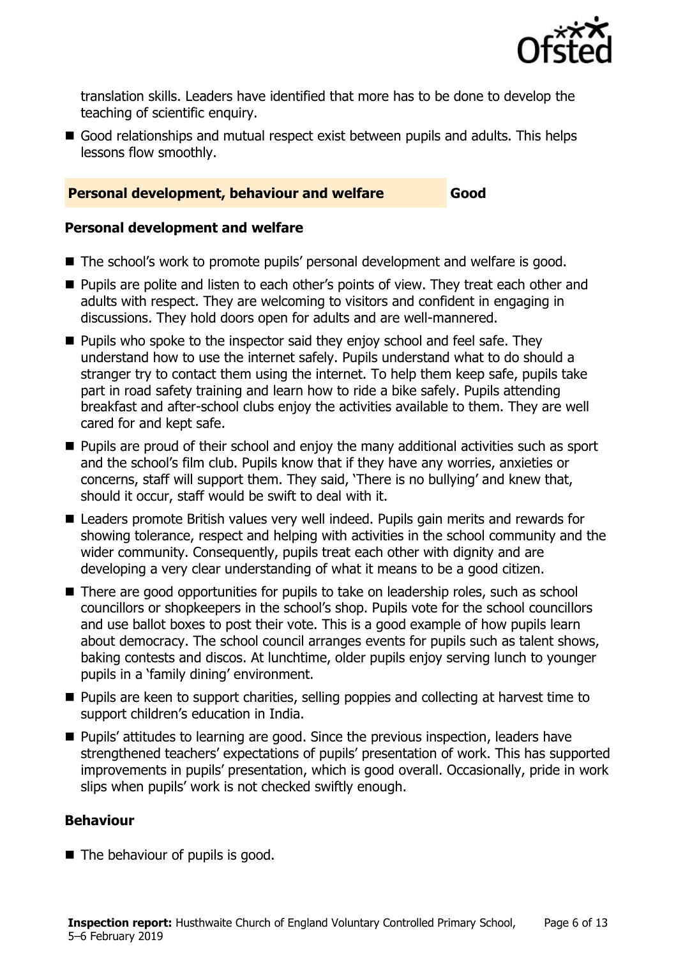

translation skills. Leaders have identified that more has to be done to develop the teaching of scientific enquiry.

Good relationships and mutual respect exist between pupils and adults. This helps lessons flow smoothly.

#### **Personal development, behaviour and welfare Good**

#### **Personal development and welfare**

- The school's work to promote pupils' personal development and welfare is good.
- **Pupils are polite and listen to each other's points of view. They treat each other and** adults with respect. They are welcoming to visitors and confident in engaging in discussions. They hold doors open for adults and are well-mannered.
- **Pupils who spoke to the inspector said they enjoy school and feel safe. They** understand how to use the internet safely. Pupils understand what to do should a stranger try to contact them using the internet. To help them keep safe, pupils take part in road safety training and learn how to ride a bike safely. Pupils attending breakfast and after-school clubs enjoy the activities available to them. They are well cared for and kept safe.
- **Pupils are proud of their school and enjoy the many additional activities such as sport** and the school's film club. Pupils know that if they have any worries, anxieties or concerns, staff will support them. They said, 'There is no bullying' and knew that, should it occur, staff would be swift to deal with it.
- Leaders promote British values very well indeed. Pupils gain merits and rewards for showing tolerance, respect and helping with activities in the school community and the wider community. Consequently, pupils treat each other with dignity and are developing a very clear understanding of what it means to be a good citizen.
- There are good opportunities for pupils to take on leadership roles, such as school councillors or shopkeepers in the school's shop. Pupils vote for the school councillors and use ballot boxes to post their vote. This is a good example of how pupils learn about democracy. The school council arranges events for pupils such as talent shows, baking contests and discos. At lunchtime, older pupils enjoy serving lunch to younger pupils in a 'family dining' environment.
- **Pupils are keen to support charities, selling poppies and collecting at harvest time to** support children's education in India.
- **Pupils' attitudes to learning are good. Since the previous inspection, leaders have** strengthened teachers' expectations of pupils' presentation of work. This has supported improvements in pupils' presentation, which is good overall. Occasionally, pride in work slips when pupils' work is not checked swiftly enough.

#### **Behaviour**

■ The behaviour of pupils is good.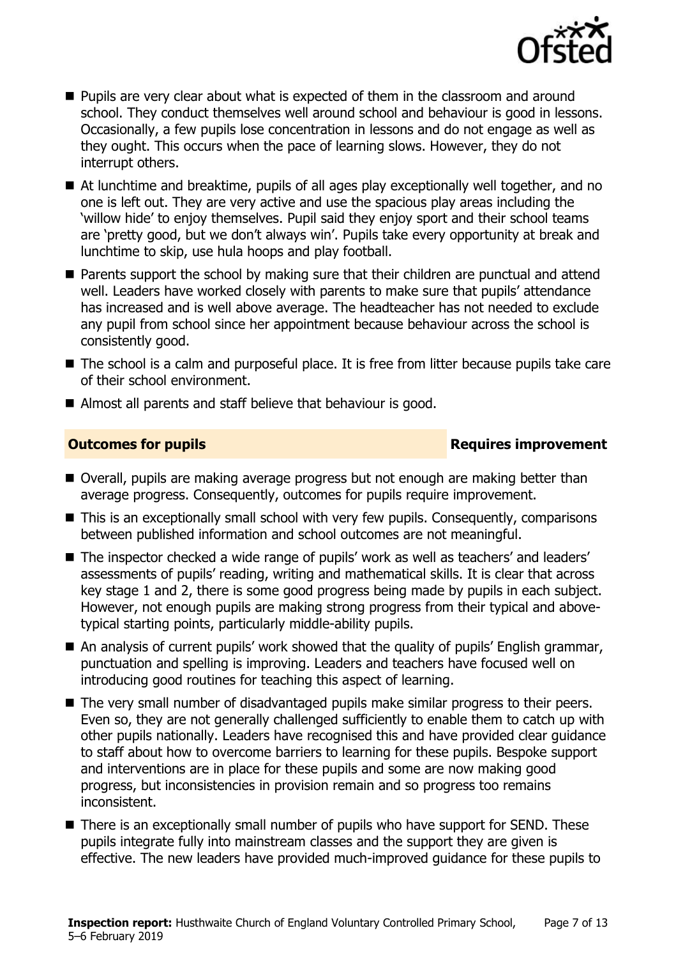

- **Pupils are very clear about what is expected of them in the classroom and around** school. They conduct themselves well around school and behaviour is good in lessons. Occasionally, a few pupils lose concentration in lessons and do not engage as well as they ought. This occurs when the pace of learning slows. However, they do not interrupt others.
- At lunchtime and breaktime, pupils of all ages play exceptionally well together, and no one is left out. They are very active and use the spacious play areas including the 'willow hide' to enjoy themselves. Pupil said they enjoy sport and their school teams are 'pretty good, but we don't always win'. Pupils take every opportunity at break and lunchtime to skip, use hula hoops and play football.
- **Parents support the school by making sure that their children are punctual and attend** well. Leaders have worked closely with parents to make sure that pupils' attendance has increased and is well above average. The headteacher has not needed to exclude any pupil from school since her appointment because behaviour across the school is consistently good.
- The school is a calm and purposeful place. It is free from litter because pupils take care of their school environment.
- Almost all parents and staff believe that behaviour is good.

### **Outcomes for pupils Requires improvement**

- Overall, pupils are making average progress but not enough are making better than average progress. Consequently, outcomes for pupils require improvement.
- This is an exceptionally small school with very few pupils. Consequently, comparisons between published information and school outcomes are not meaningful.
- The inspector checked a wide range of pupils' work as well as teachers' and leaders' assessments of pupils' reading, writing and mathematical skills. It is clear that across key stage 1 and 2, there is some good progress being made by pupils in each subject. However, not enough pupils are making strong progress from their typical and abovetypical starting points, particularly middle-ability pupils.
- An analysis of current pupils' work showed that the quality of pupils' English grammar, punctuation and spelling is improving. Leaders and teachers have focused well on introducing good routines for teaching this aspect of learning.
- The very small number of disadvantaged pupils make similar progress to their peers. Even so, they are not generally challenged sufficiently to enable them to catch up with other pupils nationally. Leaders have recognised this and have provided clear guidance to staff about how to overcome barriers to learning for these pupils. Bespoke support and interventions are in place for these pupils and some are now making good progress, but inconsistencies in provision remain and so progress too remains inconsistent.
- There is an exceptionally small number of pupils who have support for SEND. These pupils integrate fully into mainstream classes and the support they are given is effective. The new leaders have provided much-improved guidance for these pupils to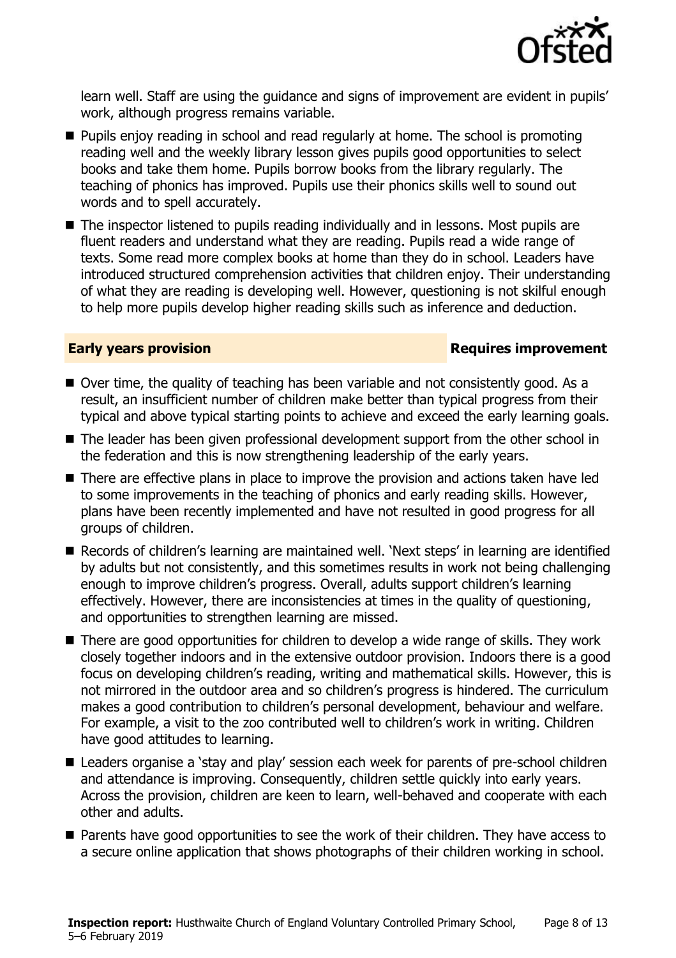

learn well. Staff are using the guidance and signs of improvement are evident in pupils' work, although progress remains variable.

- **Pupils enjoy reading in school and read regularly at home. The school is promoting** reading well and the weekly library lesson gives pupils good opportunities to select books and take them home. Pupils borrow books from the library regularly. The teaching of phonics has improved. Pupils use their phonics skills well to sound out words and to spell accurately.
- The inspector listened to pupils reading individually and in lessons. Most pupils are fluent readers and understand what they are reading. Pupils read a wide range of texts. Some read more complex books at home than they do in school. Leaders have introduced structured comprehension activities that children enjoy. Their understanding of what they are reading is developing well. However, questioning is not skilful enough to help more pupils develop higher reading skills such as inference and deduction.

#### **Early years provision Requires improvement**

- Over time, the quality of teaching has been variable and not consistently good. As a result, an insufficient number of children make better than typical progress from their typical and above typical starting points to achieve and exceed the early learning goals.
- The leader has been given professional development support from the other school in the federation and this is now strengthening leadership of the early years.
- There are effective plans in place to improve the provision and actions taken have led to some improvements in the teaching of phonics and early reading skills. However, plans have been recently implemented and have not resulted in good progress for all groups of children.
- Records of children's learning are maintained well. 'Next steps' in learning are identified by adults but not consistently, and this sometimes results in work not being challenging enough to improve children's progress. Overall, adults support children's learning effectively. However, there are inconsistencies at times in the quality of questioning, and opportunities to strengthen learning are missed.
- There are good opportunities for children to develop a wide range of skills. They work closely together indoors and in the extensive outdoor provision. Indoors there is a good focus on developing children's reading, writing and mathematical skills. However, this is not mirrored in the outdoor area and so children's progress is hindered. The curriculum makes a good contribution to children's personal development, behaviour and welfare. For example, a visit to the zoo contributed well to children's work in writing. Children have good attitudes to learning.
- Leaders organise a 'stay and play' session each week for parents of pre-school children and attendance is improving. Consequently, children settle quickly into early years. Across the provision, children are keen to learn, well-behaved and cooperate with each other and adults.
- **Parents have good opportunities to see the work of their children. They have access to** a secure online application that shows photographs of their children working in school.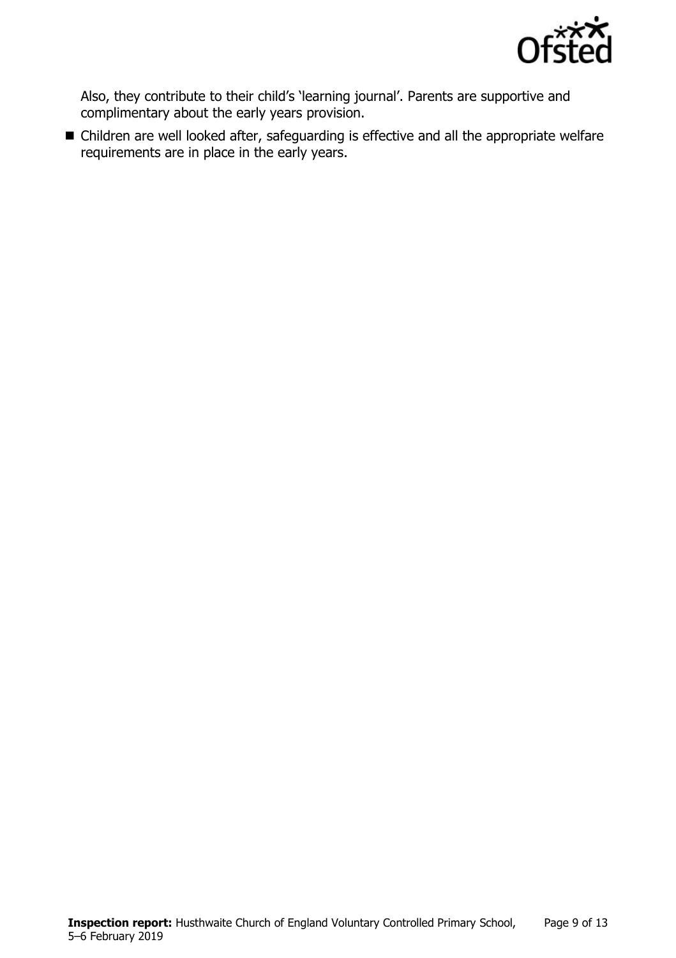

Also, they contribute to their child's 'learning journal'. Parents are supportive and complimentary about the early years provision.

■ Children are well looked after, safeguarding is effective and all the appropriate welfare requirements are in place in the early years.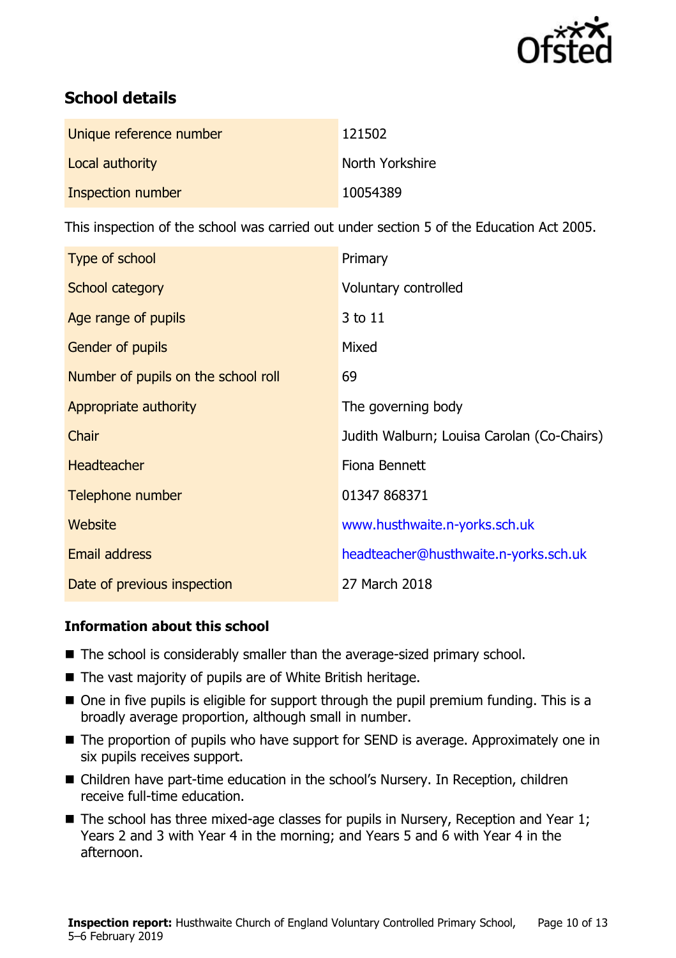

# **School details**

| Unique reference number | 121502          |
|-------------------------|-----------------|
| Local authority         | North Yorkshire |
| Inspection number       | 10054389        |

This inspection of the school was carried out under section 5 of the Education Act 2005.

| Type of school                      | Primary                                    |
|-------------------------------------|--------------------------------------------|
| School category                     | Voluntary controlled                       |
| Age range of pupils                 | 3 to 11                                    |
| Gender of pupils                    | Mixed                                      |
| Number of pupils on the school roll | 69                                         |
| Appropriate authority               | The governing body                         |
| Chair                               | Judith Walburn; Louisa Carolan (Co-Chairs) |
| <b>Headteacher</b>                  | Fiona Bennett                              |
| Telephone number                    | 01347 868371                               |
| <b>Website</b>                      | www.husthwaite.n-yorks.sch.uk              |
| <b>Email address</b>                | headteacher@husthwaite.n-yorks.sch.uk      |
| Date of previous inspection         | 27 March 2018                              |

#### **Information about this school**

- The school is considerably smaller than the average-sized primary school.
- The vast majority of pupils are of White British heritage.
- One in five pupils is eligible for support through the pupil premium funding. This is a broadly average proportion, although small in number.
- The proportion of pupils who have support for SEND is average. Approximately one in six pupils receives support.
- Children have part-time education in the school's Nursery. In Reception, children receive full-time education.
- $\blacksquare$  The school has three mixed-age classes for pupils in Nursery, Reception and Year 1; Years 2 and 3 with Year 4 in the morning; and Years 5 and 6 with Year 4 in the afternoon.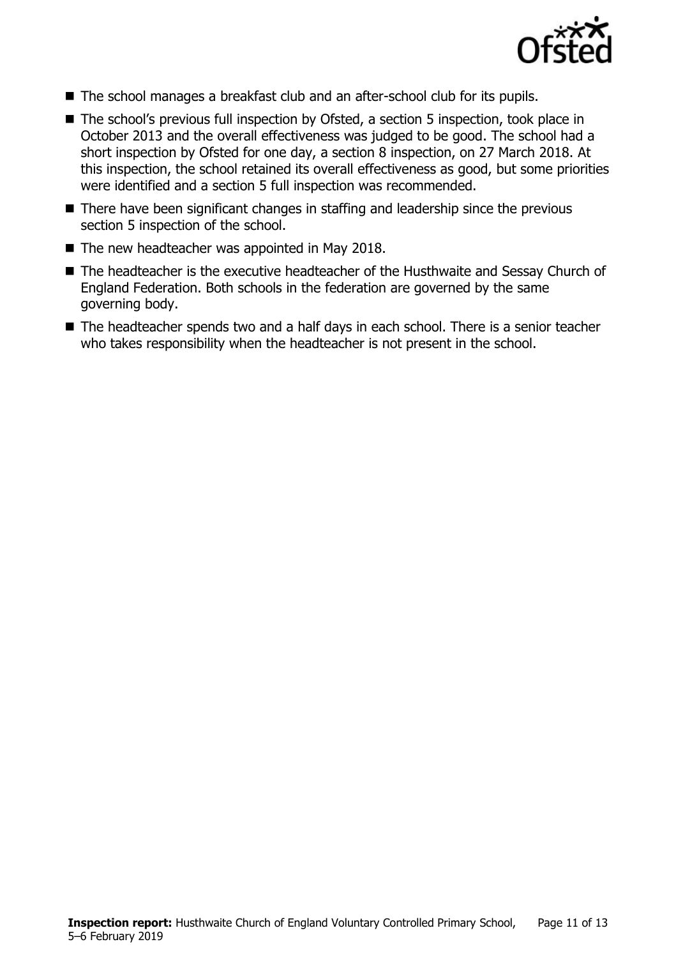

- The school manages a breakfast club and an after-school club for its pupils.
- The school's previous full inspection by Ofsted, a section 5 inspection, took place in October 2013 and the overall effectiveness was judged to be good. The school had a short inspection by Ofsted for one day, a section 8 inspection, on 27 March 2018. At this inspection, the school retained its overall effectiveness as good, but some priorities were identified and a section 5 full inspection was recommended.
- There have been significant changes in staffing and leadership since the previous section 5 inspection of the school.
- $\blacksquare$  The new headteacher was appointed in May 2018.
- The headteacher is the executive headteacher of the Husthwaite and Sessay Church of England Federation. Both schools in the federation are governed by the same governing body.
- The headteacher spends two and a half days in each school. There is a senior teacher who takes responsibility when the headteacher is not present in the school.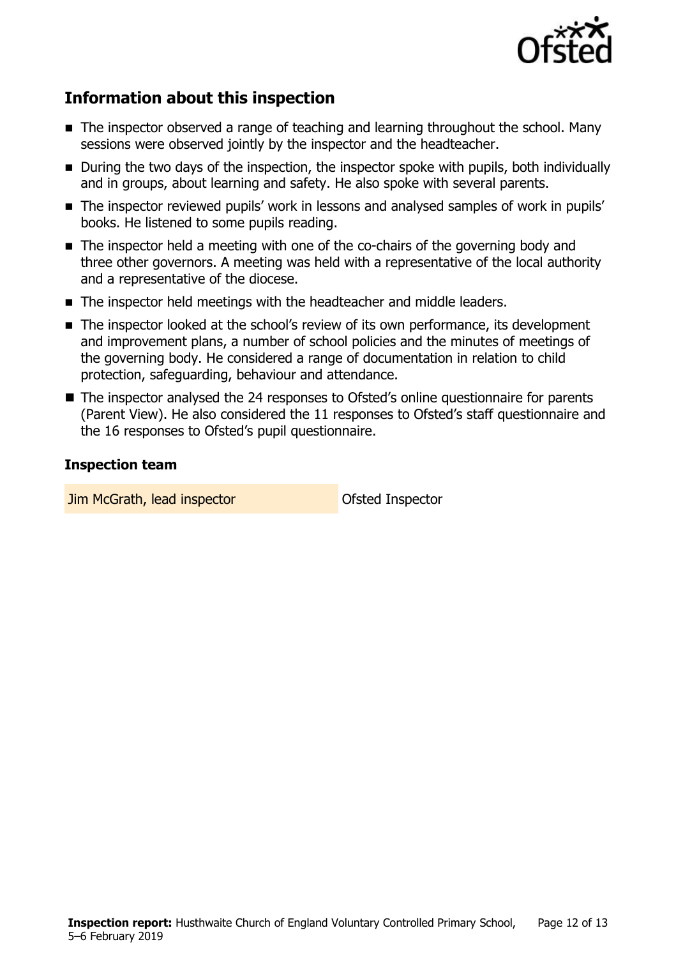

# **Information about this inspection**

- The inspector observed a range of teaching and learning throughout the school. Many sessions were observed jointly by the inspector and the headteacher.
- **During the two days of the inspection, the inspector spoke with pupils, both individually** and in groups, about learning and safety. He also spoke with several parents.
- The inspector reviewed pupils' work in lessons and analysed samples of work in pupils' books. He listened to some pupils reading.
- The inspector held a meeting with one of the co-chairs of the governing body and three other governors. A meeting was held with a representative of the local authority and a representative of the diocese.
- The inspector held meetings with the headteacher and middle leaders.
- The inspector looked at the school's review of its own performance, its development and improvement plans, a number of school policies and the minutes of meetings of the governing body. He considered a range of documentation in relation to child protection, safeguarding, behaviour and attendance.
- The inspector analysed the 24 responses to Ofsted's online questionnaire for parents (Parent View). He also considered the 11 responses to Ofsted's staff questionnaire and the 16 responses to Ofsted's pupil questionnaire.

#### **Inspection team**

**Jim McGrath, lead inspector Construction Construction Construction McGrath, lead inspector**